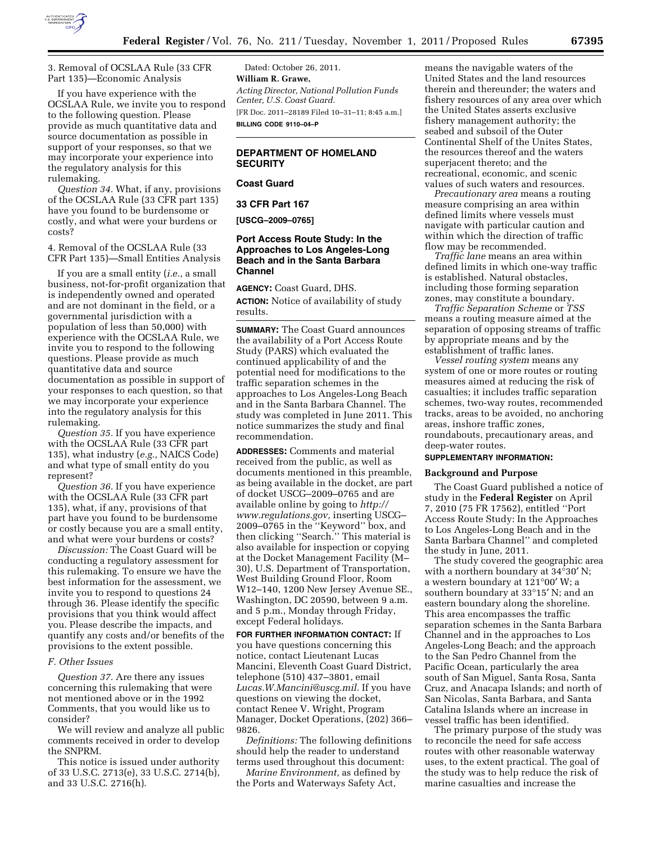

3. Removal of OCSLAA Rule (33 CFR Part 135)—Economic Analysis

If you have experience with the OCSLAA Rule, we invite you to respond to the following question. Please provide as much quantitative data and source documentation as possible in support of your responses, so that we may incorporate your experience into the regulatory analysis for this rulemaking.

*Question 34.* What, if any, provisions of the OCSLAA Rule (33 CFR part 135) have you found to be burdensome or costly, and what were your burdens or costs?

4. Removal of the OCSLAA Rule (33 CFR Part 135)—Small Entities Analysis

If you are a small entity (*i.e.,* a small business, not-for-profit organization that is independently owned and operated and are not dominant in the field, or a governmental jurisdiction with a population of less than 50,000) with experience with the OCSLAA Rule, we invite you to respond to the following questions. Please provide as much quantitative data and source documentation as possible in support of your responses to each question, so that we may incorporate your experience into the regulatory analysis for this rulemaking.

*Question 35.* If you have experience with the OCSLAA Rule (33 CFR part 135), what industry (*e.g.,* NAICS Code) and what type of small entity do you represent?

*Question 36.* If you have experience with the OCSLAA Rule (33 CFR part 135), what, if any, provisions of that part have you found to be burdensome or costly because you are a small entity, and what were your burdens or costs?

*Discussion:* The Coast Guard will be conducting a regulatory assessment for this rulemaking. To ensure we have the best information for the assessment, we invite you to respond to questions 24 through 36. Please identify the specific provisions that you think would affect you. Please describe the impacts, and quantify any costs and/or benefits of the provisions to the extent possible.

#### *F. Other Issues*

*Question 37.* Are there any issues concerning this rulemaking that were not mentioned above or in the 1992 Comments, that you would like us to consider?

We will review and analyze all public comments received in order to develop the SNPRM.

This notice is issued under authority of 33 U.S.C. 2713(e), 33 U.S.C. 2714(b), and 33 U.S.C. 2716(h).

Dated: October 26, 2011. **William R. Grawe,**  *Acting Director, National Pollution Funds Center, U.S. Coast Guard.*  [FR Doc. 2011–28189 Filed 10–31–11; 8:45 a.m.] **BILLING CODE 9110–04–P** 

# **DEPARTMENT OF HOMELAND SECURITY**

## **Coast Guard**

### **33 CFR Part 167**

## **[USCG–2009–0765]**

## **Port Access Route Study: In the Approaches to Los Angeles-Long Beach and in the Santa Barbara Channel**

**AGENCY:** Coast Guard, DHS. **ACTION:** Notice of availability of study results.

**SUMMARY:** The Coast Guard announces the availability of a Port Access Route Study (PARS) which evaluated the continued applicability of and the potential need for modifications to the traffic separation schemes in the approaches to Los Angeles-Long Beach and in the Santa Barbara Channel. The study was completed in June 2011. This notice summarizes the study and final recommendation.

**ADDRESSES:** Comments and material received from the public, as well as documents mentioned in this preamble, as being available in the docket, are part of docket USCG–2009–0765 and are available online by going to *[http://](http://www.regulations.gov)  [www.regulations.gov,](http://www.regulations.gov)* inserting USCG– 2009–0765 in the ''Keyword'' box, and then clicking ''Search.'' This material is also available for inspection or copying at the Docket Management Facility (M– 30), U.S. Department of Transportation, West Building Ground Floor, Room W12–140, 1200 New Jersey Avenue SE., Washington, DC 20590, between 9 a.m. and 5 p.m., Monday through Friday, except Federal holidays.

**FOR FURTHER INFORMATION CONTACT:** If you have questions concerning this notice, contact Lieutenant Lucas Mancini, Eleventh Coast Guard District, telephone (510) 437–3801, email *[Lucas.W.Mancini@uscg.mil.](mailto:Lucas.W.Mancini@uscg.mil)* If you have questions on viewing the docket, contact Renee V. Wright, Program Manager, Docket Operations, (202) 366– 9826.

*Definitions:* The following definitions should help the reader to understand terms used throughout this document:

*Marine Environment,* as defined by the Ports and Waterways Safety Act,

means the navigable waters of the United States and the land resources therein and thereunder; the waters and fishery resources of any area over which the United States asserts exclusive fishery management authority; the seabed and subsoil of the Outer Continental Shelf of the Unites States, the resources thereof and the waters superjacent thereto; and the recreational, economic, and scenic values of such waters and resources.

*Precautionary area* means a routing measure comprising an area within defined limits where vessels must navigate with particular caution and within which the direction of traffic flow may be recommended.

*Traffic lane* means an area within defined limits in which one-way traffic is established. Natural obstacles, including those forming separation zones, may constitute a boundary.

*Traffic Separation Scheme* or *TSS*  means a routing measure aimed at the separation of opposing streams of traffic by appropriate means and by the establishment of traffic lanes.

*Vessel routing system* means any system of one or more routes or routing measures aimed at reducing the risk of casualties; it includes traffic separation schemes, two-way routes, recommended tracks, areas to be avoided, no anchoring areas, inshore traffic zones, roundabouts, precautionary areas, and deep-water routes.

## **SUPPLEMENTARY INFORMATION:**

#### **Background and Purpose**

The Coast Guard published a notice of study in the **Federal Register** on April 7, 2010 (75 FR 17562), entitled ''Port Access Route Study: In the Approaches to Los Angeles-Long Beach and in the Santa Barbara Channel'' and completed the study in June, 2011.

The study covered the geographic area with a northern boundary at 34°30′ N; a western boundary at 121°00′ W; a southern boundary at 33°15′ N; and an eastern boundary along the shoreline. This area encompasses the traffic separation schemes in the Santa Barbara Channel and in the approaches to Los Angeles-Long Beach; and the approach to the San Pedro Channel from the Pacific Ocean, particularly the area south of San Miguel, Santa Rosa, Santa Cruz, and Anacapa Islands; and north of San Nicolas, Santa Barbara, and Santa Catalina Islands where an increase in vessel traffic has been identified.

The primary purpose of the study was to reconcile the need for safe access routes with other reasonable waterway uses, to the extent practical. The goal of the study was to help reduce the risk of marine casualties and increase the